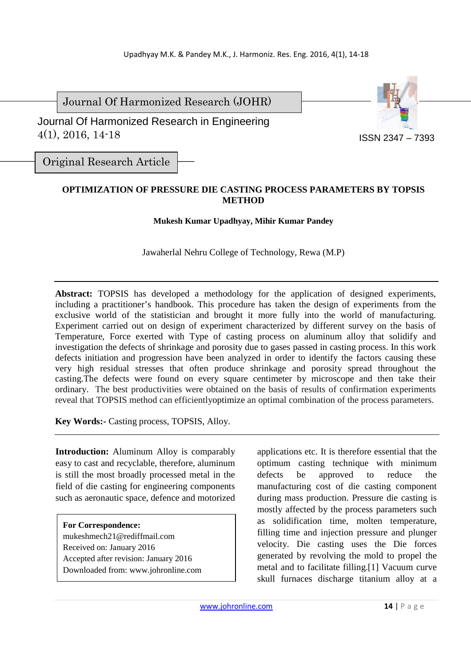Journal Of Harmonized Research (JOHR)

 Journal Of Harmonized Research in Engineering 4(1), 2016, 14-18



Original Research Article

# **OPTIMIZATION OF PRESSURE DIE CASTING PROCESS PARAMETERS BY TOPSIS METHOD**

**Mukesh Kumar Upadhyay, Mihir Kumar Pandey** 

Jawaherlal Nehru College of Technology, Rewa (M.P)

**Abstract:** TOPSIS has developed a methodology for the application of designed experiments, including a practitioner's handbook. This procedure has taken the design of experiments from the exclusive world of the statistician and brought it more fully into the world of manufacturing. Experiment carried out on design of experiment characterized by different survey on the basis of Temperature, Force exerted with Type of casting process on aluminum alloy that solidify and investigation the defects of shrinkage and porosity due to gases passed in casting process. In this work defects initiation and progression have been analyzed in order to identify the factors causing these very high residual stresses that often produce shrinkage and porosity spread throughout the casting.The defects were found on every square centimeter by microscope and then take their ordinary. The best productivities were obtained on the basis of results of confirmation experiments reveal that TOPSIS method can efficientlyoptimize an optimal combination of the process parameters.

**Key Words:-** Casting process, TOPSIS, Alloy.

**Introduction:** Aluminum Alloy is comparably easy to cast and recyclable, therefore, aluminum is still the most broadly processed metal in the field of die casting for engineering components such as aeronautic space, defence and motorized

## **For Correspondence:**

mukeshmech21@rediffmail.com Received on: January 2016 Accepted after revision: January 2016 Downloaded from: www.johronline.com applications etc. It is therefore essential that the optimum casting technique with minimum defects be approved to reduce the manufacturing cost of die casting component during mass production. Pressure die casting is mostly affected by the process parameters such as solidification time, molten temperature, filling time and injection pressure and plunger velocity. Die casting uses the Die forces generated by revolving the mold to propel the metal and to facilitate filling.[1] Vacuum curve skull furnaces discharge titanium alloy at a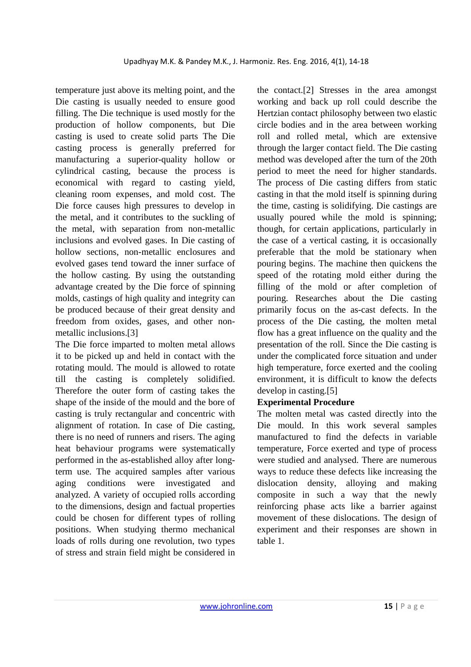temperature just above its melting point, and the Die casting is usually needed to ensure good filling. The Die technique is used mostly for the production of hollow components, but Die casting is used to create solid parts The Die casting process is generally preferred for manufacturing a superior-quality hollow or cylindrical casting, because the process is economical with regard to casting yield, cleaning room expenses, and mold cost. The Die force causes high pressures to develop in the metal, and it contributes to the suckling of the metal, with separation from non-metallic inclusions and evolved gases. In Die casting of hollow sections, non-metallic enclosures and evolved gases tend toward the inner surface of the hollow casting. By using the outstanding advantage created by the Die force of spinning molds, castings of high quality and integrity can be produced because of their great density and freedom from oxides, gases, and other nonmetallic inclusions.[3]

The Die force imparted to molten metal allows it to be picked up and held in contact with the rotating mould. The mould is allowed to rotate till the casting is completely solidified. Therefore the outer form of casting takes the shape of the inside of the mould and the bore of casting is truly rectangular and concentric with alignment of rotation. In case of Die casting, there is no need of runners and risers. The aging heat behaviour programs were systematically performed in the as-established alloy after longterm use. The acquired samples after various aging conditions were investigated and analyzed. A variety of occupied rolls according to the dimensions, design and factual properties could be chosen for different types of rolling positions. When studying thermo mechanical loads of rolls during one revolution, two types of stress and strain field might be considered in the contact.[2] Stresses in the area amongst working and back up roll could describe the Hertzian contact philosophy between two elastic circle bodies and in the area between working roll and rolled metal, which are extensive through the larger contact field. The Die casting method was developed after the turn of the 20th period to meet the need for higher standards. The process of Die casting differs from static casting in that the mold itself is spinning during the time, casting is solidifying. Die castings are usually poured while the mold is spinning; though, for certain applications, particularly in the case of a vertical casting, it is occasionally preferable that the mold be stationary when pouring begins. The machine then quickens the speed of the rotating mold either during the filling of the mold or after completion of pouring. Researches about the Die casting primarily focus on the as-cast defects. In the process of the Die casting, the molten metal flow has a great influence on the quality and the presentation of the roll. Since the Die casting is under the complicated force situation and under high temperature, force exerted and the cooling environment, it is difficult to know the defects develop in casting.[5]

## **Experimental Procedure**

The molten metal was casted directly into the Die mould. In this work several samples manufactured to find the defects in variable temperature, Force exerted and type of process were studied and analysed. There are numerous ways to reduce these defects like increasing the dislocation density, alloying and making composite in such a way that the newly reinforcing phase acts like a barrier against movement of these dislocations. The design of experiment and their responses are shown in table 1.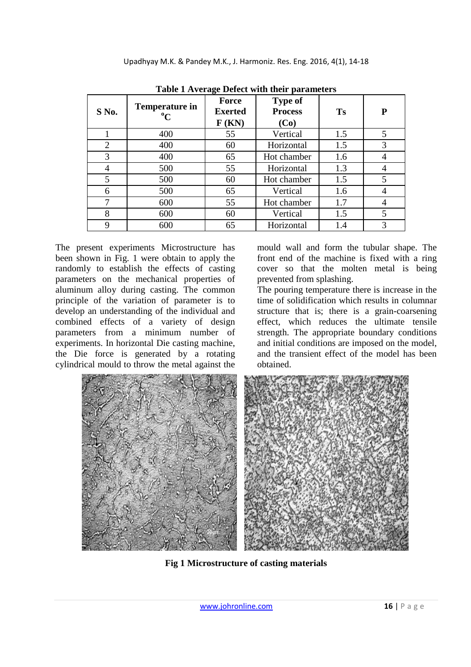| S No. | <b>Temperature in</b><br>$\rm ^{o}C$ | $\mathbf{\sigma}$<br><b>Force</b><br><b>Exerted</b><br>F(KN) | <b>Type of</b><br><b>Process</b><br>(Co) | <b>Ts</b> | P |
|-------|--------------------------------------|--------------------------------------------------------------|------------------------------------------|-----------|---|
|       | 400                                  | 55                                                           | Vertical                                 | 1.5       | 5 |
| 2     | 400                                  | 60                                                           | Horizontal                               | 1.5       | 3 |
| 3     | 400                                  | 65                                                           | Hot chamber                              | 1.6       | 4 |
| 4     | 500                                  | 55                                                           | Horizontal                               | 1.3       |   |
| 5     | 500                                  | 60                                                           | Hot chamber                              | 1.5       | 5 |
| 6     | 500                                  | 65                                                           | Vertical                                 | 1.6       | 4 |
| 7     | 600                                  | 55                                                           | Hot chamber                              | 1.7       | 4 |
| 8     | 600                                  | 60                                                           | Vertical                                 | 1.5       | 5 |
| 9     | 600                                  | 65                                                           | Horizontal                               | 1.4       | 3 |

**Table 1 Average Defect with their parameters** 

The present experiments Microstructure has been shown in Fig. 1 were obtain to apply the randomly to establish the effects of casting parameters on the mechanical properties of aluminum alloy during casting. The common principle of the variation of parameter is to develop an understanding of the individual and combined effects of a variety of design parameters from a minimum number of experiments. In horizontal Die casting machine, the Die force is generated by a rotating cylindrical mould to throw the metal against the

mould wall and form the tubular shape. The front end of the machine is fixed with a ring cover so that the molten metal is being prevented from splashing.

The pouring temperature there is increase in the time of solidification which results in columnar structure that is; there is a grain-coarsening effect, which reduces the ultimate tensile strength. The appropriate boundary conditions and initial conditions are imposed on the model, and the transient effect of the model has been obtained.



**Fig 1 Microstructure of casting materials**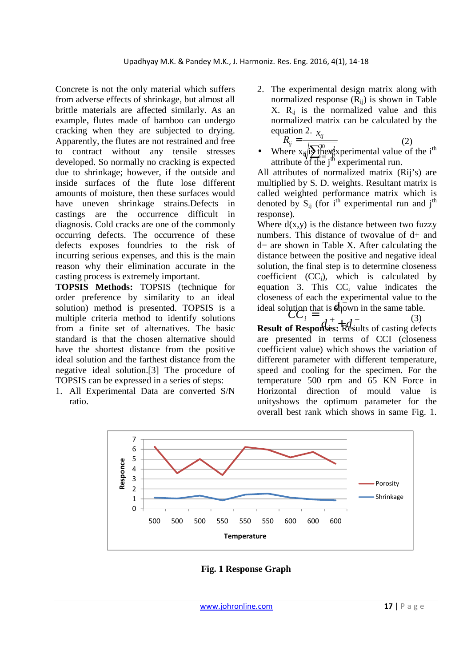Concrete is not the only material which suffers from adverse effects of shrinkage, but almost all brittle materials are affected similarly. As an example, flutes made of bamboo can undergo cracking when they are subjected to drying. Apparently, the flutes are not restrained and free to contract without any tensile stresses developed. So normally no cracking is expected due to shrinkage; however, if the outside and inside surfaces of the flute lose different amounts of moisture, then these surfaces would have uneven shrinkage strains.Defects in castings are the occurrence difficult in diagnosis. Cold cracks are one of the commonly occurring defects. The occurrence of these defects exposes foundries to the risk of incurring serious expenses, and this is the main reason why their elimination accurate in the casting process is extremely important.

**TOPSIS Methods:** TOPSIS (technique for order preference by similarity to an ideal solution) method is presented. TOPSIS is a multiple criteria method to identify solutions from a finite set of alternatives. The basic standard is that the chosen alternative should have the shortest distance from the positive ideal solution and the farthest distance from the negative ideal solution.[3] The procedure of TOPSIS can be expressed in a series of steps:

1. All Experimental Data are converted S/N ratio.

2. The experimental design matrix along with normalized response  $(R_{ii})$  is shown in Table  $X$ .  $R_{ii}$  is the normalized value and this normalized matrix can be calculated by the equation 2.  $x_{ij}$  $\dot{y}$  =

$$
R_{ij} = \frac{x_{ij}}{\sqrt{\sum_{i=1}^{30} x_{ij}^2}}
$$
 (2)

 $\sum_{i=1}^{30}$ attribute of the  $j^m$  experimental run. *ij x* • Where  $x_{ij}$  is the  $x_{ij}$  vertex-

All attributes of normalized matrix (Rij's) are multiplied by S. D. weights. Resultant matrix is called weighted performance matrix which is denoted by  $S_{ii}$  (for i<sup>th</sup> experimental run and j<sup>th</sup> response).

Where  $d(x,y)$  is the distance between two fuzzy numbers. This distance of twovalue of d+ and d− are shown in Table X. After calculating the distance between the positive and negative ideal solution, the final step is to determine closeness coefficient  $(CC<sub>i</sub>)$ , which is calculated by equation 3. This  $CC_i$  value indicates the closeness of each the experimental value to the ideal solution that is **shown** in the same table. *i d*

 $\sum_{i=1}^{n} d_i^+ + d_i^-$  (3)<br>**Result of Responses:** Results of casting defects  $\sum_{i=1}^{i}$  $CC_i = \frac{1}{d^2 + d^-}$  (3) are presented in terms of CCI (closeness coefficient value) which shows the variation of different parameter with different temperature, speed and cooling for the specimen. For the temperature 500 rpm and 65 KN Force in Horizontal direction of mould value is unityshows the optimum parameter for the overall best rank which shows in same Fig. 1.



**Fig. 1 Response Graph**